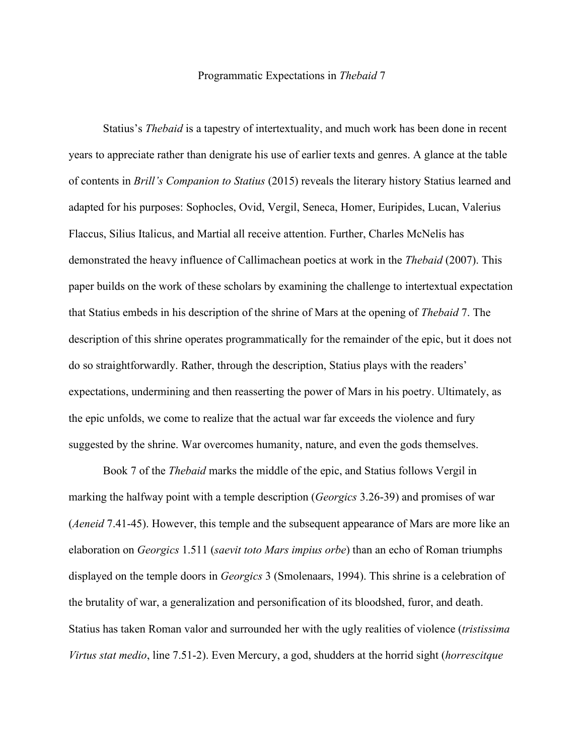## Programmatic Expectations in *Thebaid* 7

Statius's *Thebaid* is a tapestry of intertextuality, and much work has been done in recent years to appreciate rather than denigrate his use of earlier texts and genres. A glance at the table of contents in *Brill's Companion to Statius* (2015) reveals the literary history Statius learned and adapted for his purposes: Sophocles, Ovid, Vergil, Seneca, Homer, Euripides, Lucan, Valerius Flaccus, Silius Italicus, and Martial all receive attention. Further, Charles McNelis has demonstrated the heavy influence of Callimachean poetics at work in the *Thebaid* (2007). This paper builds on the work of these scholars by examining the challenge to intertextual expectation that Statius embeds in his description of the shrine of Mars at the opening of *Thebaid* 7. The description of this shrine operates programmatically for the remainder of the epic, but it does not do so straightforwardly. Rather, through the description, Statius plays with the readers' expectations, undermining and then reasserting the power of Mars in his poetry. Ultimately, as the epic unfolds, we come to realize that the actual war far exceeds the violence and fury suggested by the shrine. War overcomes humanity, nature, and even the gods themselves.

Book 7 of the *Thebaid* marks the middle of the epic, and Statius follows Vergil in marking the halfway point with a temple description (*Georgics* 3.26-39) and promises of war (*Aeneid* 7.41-45). However, this temple and the subsequent appearance of Mars are more like an elaboration on *Georgics* 1.511 (*saevit toto Mars impius orbe*) than an echo of Roman triumphs displayed on the temple doors in *Georgics* 3 (Smolenaars, 1994). This shrine is a celebration of the brutality of war, a generalization and personification of its bloodshed, furor, and death. Statius has taken Roman valor and surrounded her with the ugly realities of violence (*tristissima Virtus stat medio*, line 7.51-2). Even Mercury, a god, shudders at the horrid sight (*horrescitque*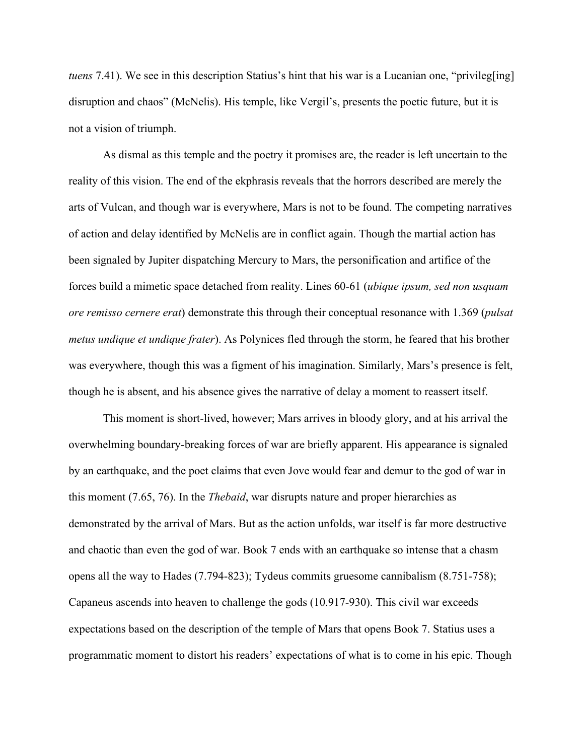*tuens* 7.41). We see in this description Statius's hint that his war is a Lucanian one, "privileg[ing] disruption and chaos" (McNelis). His temple, like Vergil's, presents the poetic future, but it is not a vision of triumph.

As dismal as this temple and the poetry it promises are, the reader is left uncertain to the reality of this vision. The end of the ekphrasis reveals that the horrors described are merely the arts of Vulcan, and though war is everywhere, Mars is not to be found. The competing narratives of action and delay identified by McNelis are in conflict again. Though the martial action has been signaled by Jupiter dispatching Mercury to Mars, the personification and artifice of the forces build a mimetic space detached from reality. Lines 60-61 (*ubique ipsum, sed non usquam ore remisso cernere erat*) demonstrate this through their conceptual resonance with 1.369 (*pulsat metus undique et undique frater*). As Polynices fled through the storm, he feared that his brother was everywhere, though this was a figment of his imagination. Similarly, Mars's presence is felt, though he is absent, and his absence gives the narrative of delay a moment to reassert itself.

This moment is short-lived, however; Mars arrives in bloody glory, and at his arrival the overwhelming boundary-breaking forces of war are briefly apparent. His appearance is signaled by an earthquake, and the poet claims that even Jove would fear and demur to the god of war in this moment (7.65, 76). In the *Thebaid*, war disrupts nature and proper hierarchies as demonstrated by the arrival of Mars. But as the action unfolds, war itself is far more destructive and chaotic than even the god of war. Book 7 ends with an earthquake so intense that a chasm opens all the way to Hades (7.794-823); Tydeus commits gruesome cannibalism (8.751-758); Capaneus ascends into heaven to challenge the gods (10.917-930). This civil war exceeds expectations based on the description of the temple of Mars that opens Book 7. Statius uses a programmatic moment to distort his readers' expectations of what is to come in his epic. Though